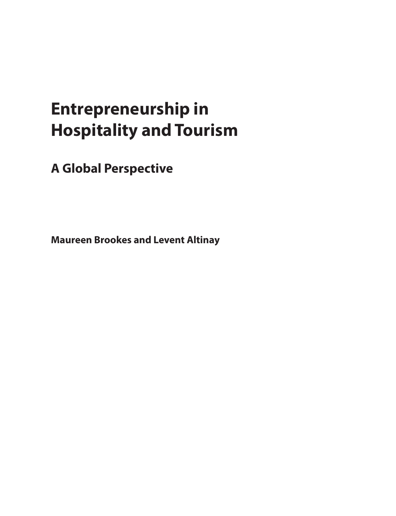### **Entrepreneurship in Hospitality and Tourism**

**A Global Perspective**

<span id="page-0-0"></span>**Maureen Brookes and Levent Altinay**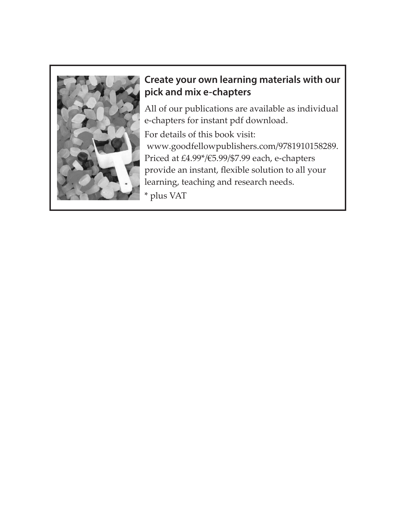

#### **Create your own learning materials with our pick and mix e-chapters**

All of our publications are available as individual e-chapters for instant pdf download.

For details of this book visit: www.goodfellowpublishers.com/9781910158289. Priced at £4.99\*/€5.99/\$7.99 each, e-chapters provide an instant, flexible solution to all your learning, teaching and research needs.

\* plus VAT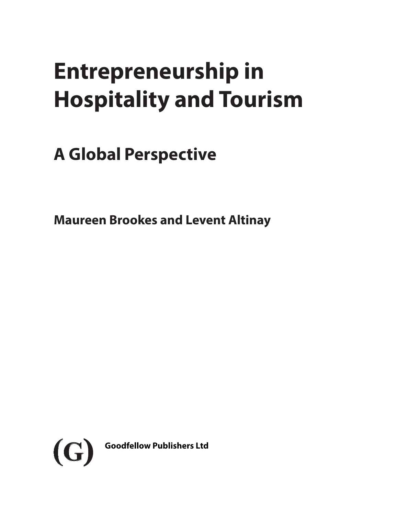# **Entrepreneurship in Hospitality and Tourism**

## **A Global Perspective**

**Maureen Brookes and Levent Altinay**

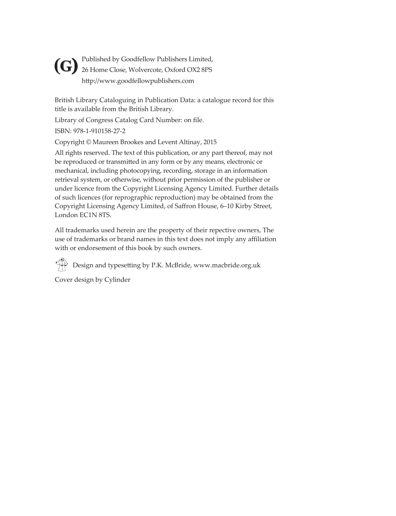Published by Goodfellow Publishers Limited, **(G)** Published by Goodfellow Publishers Limited,<br>26 Home Close, Wolvercote, Oxford OX2 8PS http://www.goodfellowpublishers.com

British Library Cataloguing in Publication Data: a catalogue record for this title is available from the British Library.

Library of Congress Catalog Card Number: on file.

ISBN: 978-1-910158-27-2

Copyright © Maureen Brookes and Levent Altinay, 2015

All rights reserved. The text of this publication, or any part thereof, may not be reproduced or transmitted in any form or by any means, electronic or mechanical, including photocopying, recording, storage in an information retrieval system, or otherwise, without prior permission of the publisher or under licence from the Copyright Licensing Agency Limited. Further details of such licences (for reprographic reproduction) may be obtained from the Copyright Licensing Agency Limited, of Saffron House, 6–10 Kirby Street, London EC1N 8TS.

All trademarks used herein are the property of their repective owners, The use of trademarks or brand names in this text does not imply any affiliation with or endorsement of this book by such owners.

Design and typesetting by P.K. McBride, www.macbride.org.uk

Cover design by Cylinder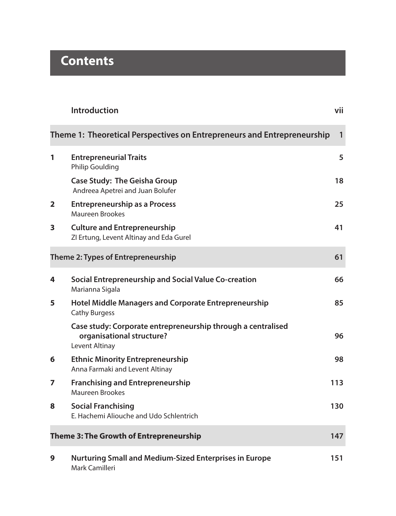### **Contents**

|   | Introduction                                                                                                | vii          |
|---|-------------------------------------------------------------------------------------------------------------|--------------|
|   | Theme 1: Theoretical Perspectives on Entrepreneurs and Entrepreneurship                                     | $\mathbf{1}$ |
| 1 | <b>Entrepreneurial Traits</b><br>Philip Goulding                                                            | 5            |
|   | <b>Case Study: The Geisha Group</b><br>Andreea Apetrei and Juan Bolufer                                     | 18           |
| 2 | <b>Entrepreneurship as a Process</b><br>Maureen Brookes                                                     | 25           |
| 3 | <b>Culture and Entrepreneurship</b><br>ZI Ertung, Levent Altinay and Eda Gurel                              | 41           |
|   | Theme 2: Types of Entrepreneurship                                                                          | 61           |
| 4 | Social Entrepreneurship and Social Value Co-creation<br>Marianna Sigala                                     | 66           |
| 5 | Hotel Middle Managers and Corporate Entrepreneurship<br><b>Cathy Burgess</b>                                | 85           |
|   | Case study: Corporate entrepreneurship through a centralised<br>organisational structure?<br>Levent Altinay | 96           |
| 6 | <b>Ethnic Minority Entrepreneurship</b><br>Anna Farmaki and Levent Altinay                                  | 98           |
| 7 | <b>Franchising and Entrepreneurship</b><br><b>Maureen Brookes</b>                                           | 113          |
| 8 | <b>Social Franchising</b><br>E. Hachemi Aliouche and Udo Schlentrich                                        | 130          |
|   | Theme 3: The Growth of Entrepreneurship                                                                     | 147          |
| 9 | <b>Nurturing Small and Medium-Sized Enterprises in Europe</b><br>Mark Camilleri                             | 151          |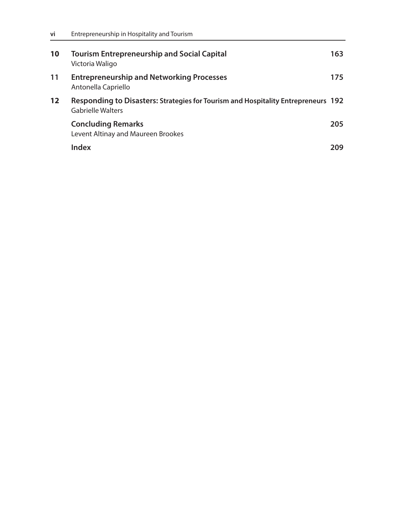| 10                | <b>Tourism Entrepreneurship and Social Capital</b><br>Victoria Waligo                                  | 163. |
|-------------------|--------------------------------------------------------------------------------------------------------|------|
| 11                | <b>Entrepreneurship and Networking Processes</b><br>Antonella Capriello                                | 175  |
| $12 \ \mathrm{ }$ | Responding to Disasters: Strategies for Tourism and Hospitality Entrepreneurs 192<br>Gabrielle Walters |      |
|                   | <b>Concluding Remarks</b><br>Levent Altinay and Maureen Brookes                                        | 205  |
|                   | Index                                                                                                  | 209  |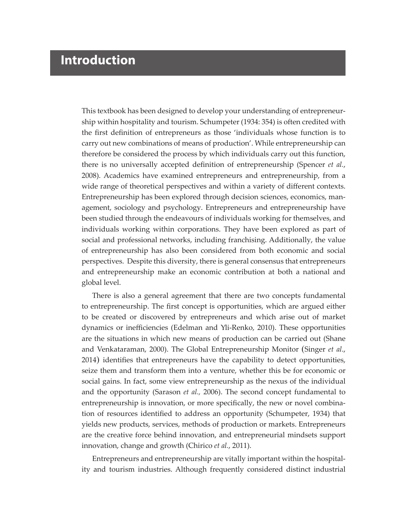### **Introduction**

This textbook has been designed to develop your understanding of entrepreneurship within hospitality and tourism. Schumpeter (1934: 354) is often credited with the first definition of entrepreneurs as those 'individuals whose function is to carry out new combinations of means of production'. While entrepreneurship can therefore be considered the process by which individuals carry out this function, there is no universally accepted definition of entrepreneurship (Spencer *et al.*, 2008). Academics have examined entrepreneurs and entrepreneurship, from a wide range of theoretical perspectives and within a variety of different contexts. Entrepreneurship has been explored through decision sciences, economics, management, sociology and psychology. Entrepreneurs and entrepreneurship have been studied through the endeavours of individuals working for themselves, and individuals working within corporations. They have been explored as part of social and professional networks, including franchising. Additionally, the value of entrepreneurship has also been considered from both economic and social perspectives. Despite this diversity, there is general consensus that entrepreneurs and entrepreneurship make an economic contribution at both a national and global level.

There is also a general agreement that there are two concepts fundamental to entrepreneurship. The first concept is opportunities, which are argued either to be created or discovered by entrepreneurs and which arise out of market dynamics or inefficiencies (Edelman and Yli-Renko, 2010). These opportunities are the situations in which new means of production can be carried out (Shane and Venkataraman, 2000). The Global Entrepreneurship Monitor (Singer *et al*., 2014) identifies that entrepreneurs have the capability to detect opportunities, seize them and transform them into a venture, whether this be for economic or social gains. In fact, some view entrepreneurship as the nexus of the individual and the opportunity (Sarason *et al.,* 2006). The second concept fundamental to entrepreneurship is innovation, or more specifically, the new or novel combination of resources identified to address an opportunity (Schumpeter, 1934) that yields new products, services, methods of production or markets. Entrepreneurs are the creative force behind innovation, and entrepreneurial mindsets support innovation, change and growth (Chirico *et al.*, 2011).

Entrepreneurs and entrepreneurship are vitally important within the hospitality and tourism industries. Although frequently considered distinct industrial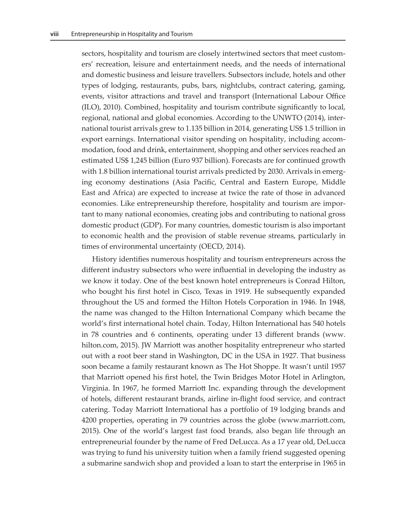sectors, hospitality and tourism are closely intertwined sectors that meet customers' recreation, leisure and entertainment needs, and the needs of international and domestic business and leisure travellers. Subsectors include, hotels and other types of lodging, restaurants, pubs, bars, nightclubs, contract catering, gaming, events, visitor attractions and travel and transport (International Labour Office (ILO), 2010). Combined, hospitality and tourism contribute significantly to local, regional, national and global economies. According to the UNWTO (2014), international tourist arrivals grew to 1.135 billion in 2014, generating US\$ 1.5 trillion in export earnings. International visitor spending on hospitality, including accommodation, food and drink, entertainment, shopping and other services reached an estimated US\$ 1,245 billion (Euro 937 billion). Forecasts are for continued growth with 1.8 billion international tourist arrivals predicted by 2030. Arrivals in emerging economy destinations (Asia Pacific, Central and Eastern Europe, Middle East and Africa) are expected to increase at twice the rate of those in advanced economies. Like entrepreneurship therefore, hospitality and tourism are important to many national economies, creating jobs and contributing to national gross domestic product (GDP). For many countries, domestic tourism is also important to economic health and the provision of stable revenue streams, particularly in times of environmental uncertainty (OECD, 2014).

History identifies numerous hospitality and tourism entrepreneurs across the different industry subsectors who were influential in developing the industry as we know it today. One of the best known hotel entrepreneurs is Conrad Hilton, who bought his first hotel in Cisco, Texas in 1919. He subsequently expanded throughout the US and formed the Hilton Hotels Corporation in 1946. In 1948, the name was changed to the Hilton International Company which became the world's first international hotel chain. Today, Hilton International has 540 hotels in 78 countries and 6 continents, operating under 13 different brands ([www.](http://www.hilton.com) [hilton.com](http://www.hilton.com), 2015). JW Marriott was another hospitality entrepreneur who started out with a root beer stand in Washington, DC in the USA in 1927. That business soon became a family restaurant known as The Hot Shoppe. It wasn't until 1957 that Marriott opened his first hotel, the Twin Bridges Motor Hotel in Arlington, Virginia. In 1967, he formed Marriott Inc. expanding through the development of hotels, different restaurant brands, airline in-flight food service, and contract catering. Today Marriott International has a portfolio of 19 lodging brands and 4200 properties, operating in 79 countries across the globe ([www.marriott.com](http://www.marriott.com), 2015). One of the world's largest fast food brands, also began life through an entrepreneurial founder by the name of Fred DeLucca. As a 17 year old, DeLucca was trying to fund his university tuition when a family friend suggested opening a submarine sandwich shop and provided a loan to start the enterprise in 1965 in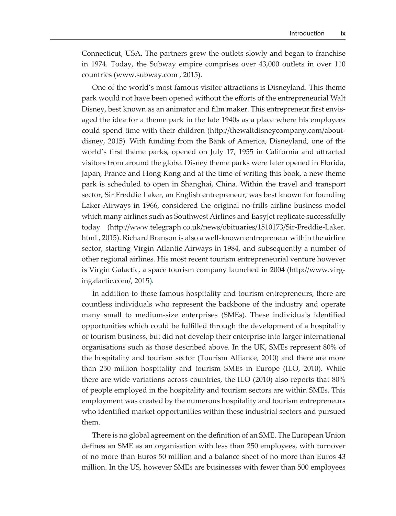Connecticut, USA. The partners grew the outlets slowly and began to franchise in 1974. Today, the Subway empire comprises over 43,000 outlets in over 110 countries ([www.subway.com](http://www.subway.com) , 2015).

One of the world's most famous visitor attractions is Disneyland. This theme park would not have been opened without the efforts of the entrepreneurial Walt Disney, best known as an animator and film maker. This entrepreneur first envisaged the idea for a theme park in the late 1940s as a place where his employees could spend time with their children ([http://thewaltdisneycompany.com/about](http://thewaltdisneycompany.com/about-disney)[disney,](http://thewaltdisneycompany.com/about-disney) 2015). With funding from the Bank of America, Disneyland, one of the world's first theme parks, opened on July 17, 1955 in California and attracted visitors from around the globe. Disney theme parks were later opened in Florida, Japan, France and Hong Kong and at the time of writing this book, a new theme park is scheduled to open in Shanghai, China. Within the travel and transport sector, Sir Freddie Laker, an English entrepreneur, was best known for founding Laker Airways in 1966, considered the original no-frills airline business model which many airlines such as Southwest Airlines and EasyJet replicate successfully today ([http://www.telegraph.co.uk/news/obituaries/1510173/Sir-Freddie-Laker.](http://www.telegraph.co.uk/news/obituaries/1510173/Sir-Freddie-Laker.html) [html](http://www.telegraph.co.uk/news/obituaries/1510173/Sir-Freddie-Laker.html) , 2015). Richard Branson is also a well-known entrepreneur within the airline sector, starting Virgin Atlantic Airways in 1984, and subsequently a number of other regional airlines. His most recent tourism entrepreneurial venture however is Virgin Galactic, a space tourism company launched in 2004 ([http://www.virg](http://www.virgingalactic.com/)[ingalactic.com/](http://www.virgingalactic.com/), 2015).

In addition to these famous hospitality and tourism entrepreneurs, there are countless individuals who represent the backbone of the industry and operate many small to medium-size enterprises (SMEs). These individuals identified opportunities which could be fulfilled through the development of a hospitality or tourism business, but did not develop their enterprise into larger international organisations such as those described above. In the UK, SMEs represent 80% of the hospitality and tourism sector (Tourism Alliance, 2010) and there are more than 250 million hospitality and tourism SMEs in Europe (ILO, 2010). While there are wide variations across countries, the ILO (2010) also reports that 80% of people employed in the hospitality and tourism sectors are within SMEs. This employment was created by the numerous hospitality and tourism entrepreneurs who identified market opportunities within these industrial sectors and pursued them.

There is no global agreement on the definition of an SME. The European Union defines an SME as an organisation with less than 250 employees, with turnover of no more than Euros 50 million and a balance sheet of no more than Euros 43 million. In the US, however SMEs are businesses with fewer than 500 employees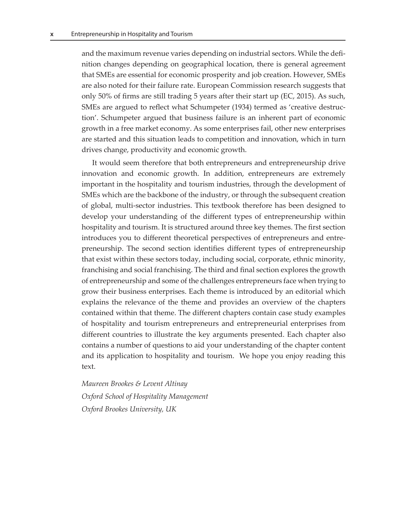and the maximum revenue varies depending on industrial sectors. While the definition changes depending on geographical location, there is general agreement that SMEs are essential for economic prosperity and job creation. However, SMEs are also noted for their failure rate. European Commission research suggests that only 50% of firms are still trading 5 years after their start up (EC, 2015). As such, SMEs are argued to reflect what Schumpeter (1934) termed as 'creative destruction'. Schumpeter argued that business failure is an inherent part of economic growth in a free market economy. As some enterprises fail, other new enterprises are started and this situation leads to competition and innovation, which in turn drives change, productivity and economic growth.

It would seem therefore that both entrepreneurs and entrepreneurship drive innovation and economic growth. In addition, entrepreneurs are extremely important in the hospitality and tourism industries, through the development of SMEs which are the backbone of the industry, or through the subsequent creation of global, multi-sector industries. This textbook therefore has been designed to develop your understanding of the different types of entrepreneurship within hospitality and tourism. It is structured around three key themes. The first section introduces you to different theoretical perspectives of entrepreneurs and entrepreneurship. The second section identifies different types of entrepreneurship that exist within these sectors today, including social, corporate, ethnic minority, franchising and social franchising. The third and final section explores the growth of entrepreneurship and some of the challenges entrepreneurs face when trying to grow their business enterprises. Each theme is introduced by an editorial which explains the relevance of the theme and provides an overview of the chapters contained within that theme. The different chapters contain case study examples of hospitality and tourism entrepreneurs and entrepreneurial enterprises from different countries to illustrate the key arguments presented. Each chapter also contains a number of questions to aid your understanding of the chapter content and its application to hospitality and tourism. We hope you enjoy reading this text.

*Maureen Brookes & Levent Altinay Oxford School of Hospitality Management Oxford Brookes University, UK*